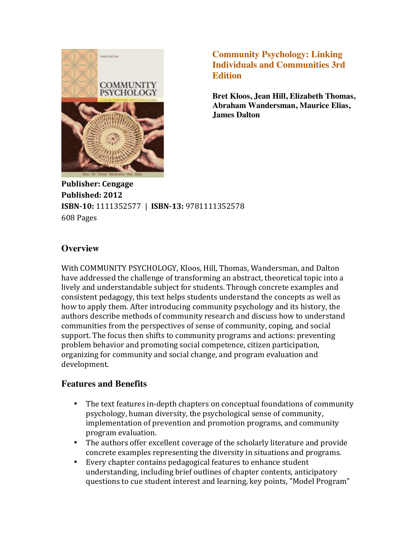

**Community Psychology: Linking Individuals and Communities 3rd Edition**

**Bret Kloos, Jean Hill, Elizabeth Thomas, Abraham Wandersman, Maurice Elias, James Dalton**

**Publisher: Cengage Published: 2012 ISBN-10:** 1111352577 | **ISBN-13:** 9781111352578 608 Pages

## **Overview**

With COMMUNITY PSYCHOLOGY, Kloos, Hill, Thomas, Wandersman, and Dalton have addressed the challenge of transforming an abstract, theoretical topic into a lively and understandable subject for students. Through concrete examples and consistent pedagogy, this text helps students understand the concepts as well as how to apply them. After introducing community psychology and its history, the authors describe methods of community research and discuss how to understand communities from the perspectives of sense of community, coping, and social support. The focus then shifts to community programs and actions: preventing problem behavior and promoting social competence, citizen participation, organizing for community and social change, and program evaluation and development.

## **Features and Benefits**

- The text features in-depth chapters on conceptual foundations of community psychology, human diversity, the psychological sense of community, implementation of prevention and promotion programs, and community program evaluation.
- The authors offer excellent coverage of the scholarly literature and provide concrete examples representing the diversity in situations and programs.
- Every chapter contains pedagogical features to enhance student understanding, including brief outlines of chapter contents, anticipatory questions to cue student interest and learning, key points, "Model Program"